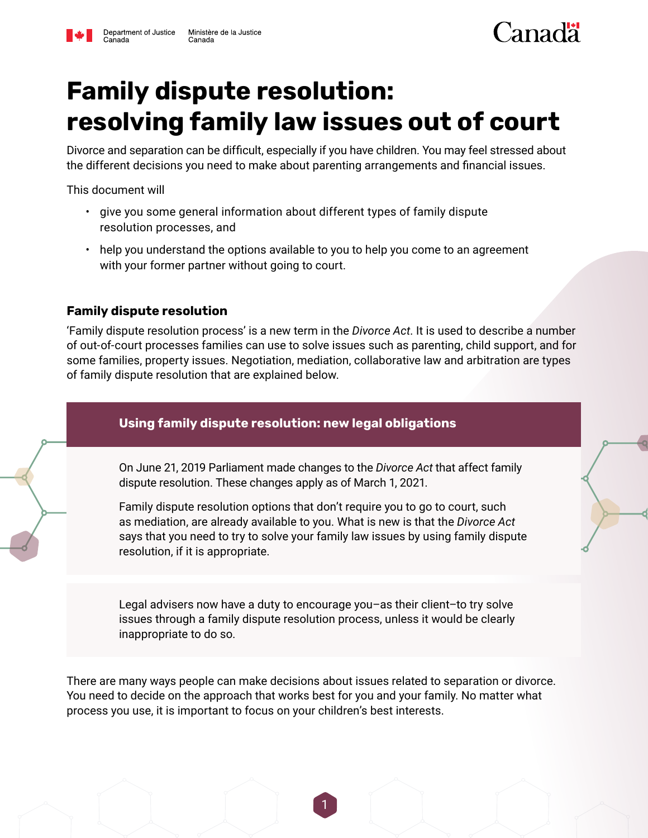# **Family dispute resolution: resolving family law issues out of court**

Divorce and separation can be difficult, especially if you have children. You may feel stressed about the different decisions you need to make about parenting arrangements and financial issues.

This document will

- give you some general information about different types of family dispute resolution processes, and
- help you understand the options available to you to help you come to an agreement with your former partner without going to court.

#### **Family dispute resolution**

'Family dispute resolution process' is a new term in the *Divorce Act*. It is used to describe a number of out-of-court processes families can use to solve issues such as parenting, child support, and for some families, property issues. Negotiation, mediation, collaborative law and arbitration are types of family dispute resolution that are explained below.

# **Using family dispute resolution: new legal obligations**

On June 21, 2019 Parliament made changes to the *Divorce Act* that affect family dispute resolution. These changes apply as of March 1, 2021.

Family dispute resolution options that don't require you to go to court, such as mediation, are already available to you. What is new is that the *Divorce Act* says that you need to try to solve your family law issues by using family dispute resolution, if it is appropriate.

Legal advisers now have a duty to encourage you–as their client–to try solve issues through a family dispute resolution process, unless it would be clearly inappropriate to do so.

There are many ways people can make decisions about issues related to separation or divorce. You need to decide on the approach that works best for you and your family. No matter what process you use, it is important to focus on your children's best interests.

1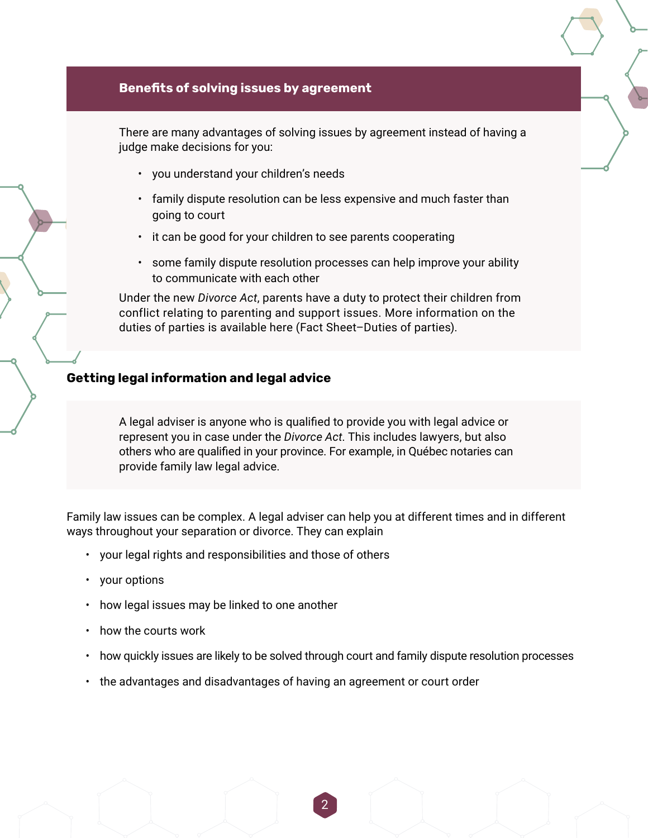#### **Benefits of solving issues by agreement**

There are many advantages of solving issues by agreement instead of having a judge make decisions for you:

- you understand your children's needs
- family dispute resolution can be less expensive and much faster than going to court
- it can be good for your children to see parents cooperating
- some family dispute resolution processes can help improve your ability to communicate with each other

Under the new *Divorce Act*, parents have a duty to protect their children from conflict relating to parenting and support issues. More information on the duties of parties is available here (Fact Sheet–Duties of parties).

#### **Getting legal information and legal advice**

A legal adviser is anyone who is qualified to provide you with legal advice or represent you in case under the *Divorce Act*. This includes lawyers, but also others who are qualified in your province. For example, in Québec notaries can provide family law legal advice.

Family law issues can be complex. A legal adviser can help you at different times and in different ways throughout your separation or divorce. They can explain

- your legal rights and responsibilities and those of others
- your options
- how legal issues may be linked to one another
- how the courts work
- how quickly issues are likely to be solved through court and family dispute resolution processes

2

• the advantages and disadvantages of having an agreement or court order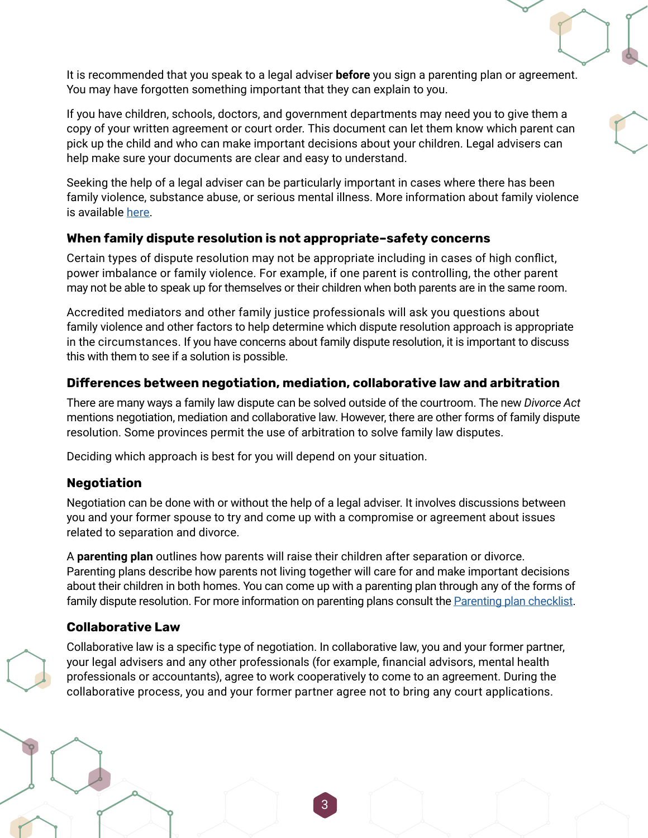It is recommended that you speak to a legal adviser **before** you sign a parenting plan or agreement. You may have forgotten something important that they can explain to you.

If you have children, schools, doctors, and government departments may need you to give them a copy of your written agreement or court order. This document can let them know which parent can pick up the child and who can make important decisions about your children. Legal advisers can help make sure your documents are clear and easy to understand.

Seeking the help of a legal adviser can be particularly important in cases where there has been family violence, substance abuse, or serious mental illness. More information about family violence is available [here](https://www.justice.gc.ca/eng/fl-df/fsdfv-fidvf.html).

#### **When family dispute resolution is not appropriate–safety concerns**

Certain types of dispute resolution may not be appropriate including in cases of high conflict, power imbalance or family violence. For example, if one parent is controlling, the other parent may not be able to speak up for themselves or their children when both parents are in the same room.

Accredited mediators and other family justice professionals will ask you questions about family violence and other factors to help determine which dispute resolution approach is appropriate in the circumstances. If you have concerns about family dispute resolution, it is important to discuss this with them to see if a solution is possible.

#### **Differences between negotiation, mediation, collaborative law and arbitration**

There are many ways a family law dispute can be solved outside of the courtroom. The new *Divorce Act* mentions negotiation, mediation and collaborative law. However, there are other forms of family dispute resolution. Some provinces permit the use of arbitration to solve family law disputes.

Deciding which approach is best for you will depend on your situation.

#### **Negotiation**

Negotiation can be done with or without the help of a legal adviser. It involves discussions between you and your former spouse to try and come up with a compromise or agreement about issues related to separation and divorce.

A **parenting plan** outlines how parents will raise their children after separation or divorce. Parenting plans describe how parents not living together will care for and make important decisions about their children in both homes. You can come up with a parenting plan through any of the forms of family dispute resolution. For more information on parenting plans consult the [Parenting plan checklist](https://www.justice.gc.ca/eng/fl-df/parent/ppc-lvppp/index.html).

## **Collaborative Law**

Collaborative law is a specific type of negotiation. In collaborative law, you and your former partner, your legal advisers and any other professionals (for example, financial advisors, mental health professionals or accountants), agree to work cooperatively to come to an agreement. During the collaborative process, you and your former partner agree not to bring any court applications.

3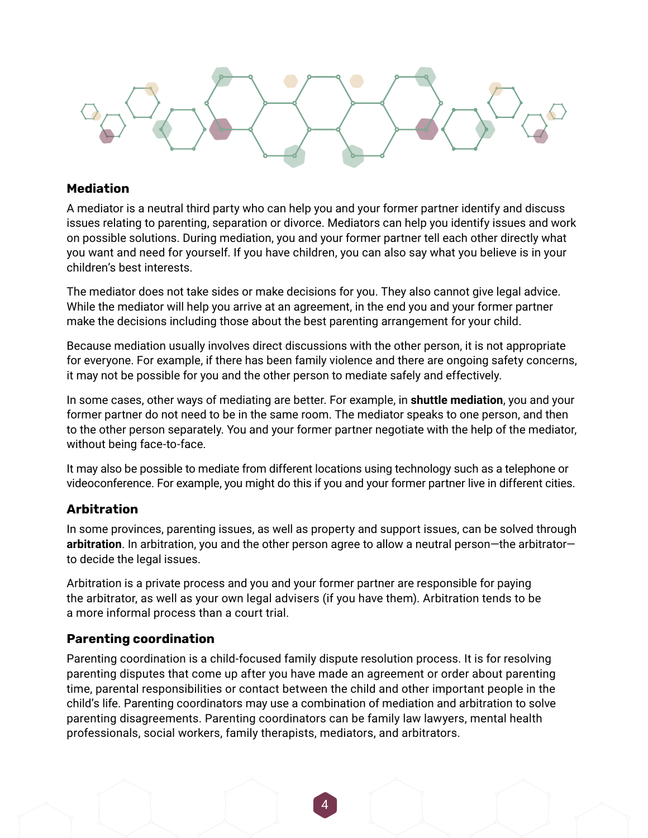#### **Mediation**

A mediator is a neutral third party who can help you and your former partner identify and discuss issues relating to parenting, separation or divorce. Mediators can help you identify issues and work on possible solutions. During mediation, you and your former partner tell each other directly what you want and need for yourself. If you have children, you can also say what you believe is in your children's best interests.

The mediator does not take sides or make decisions for you. They also cannot give legal advice. While the mediator will help you arrive at an agreement, in the end you and your former partner make the decisions including those about the best parenting arrangement for your child.

Because mediation usually involves direct discussions with the other person, it is not appropriate for everyone. For example, if there has been family violence and there are ongoing safety concerns, it may not be possible for you and the other person to mediate safely and effectively.

In some cases, other ways of mediating are better. For example, in **shuttle mediation**, you and your former partner do not need to be in the same room. The mediator speaks to one person, and then to the other person separately. You and your former partner negotiate with the help of the mediator, without being face-to-face.

It may also be possible to mediate from different locations using technology such as a telephone or videoconference. For example, you might do this if you and your former partner live in different cities.

## **Arbitration**

In some provinces, parenting issues, as well as property and support issues, can be solved through **arbitration**. In arbitration, you and the other person agree to allow a neutral person—the arbitrator to decide the legal issues.

Arbitration is a private process and you and your former partner are responsible for paying the arbitrator, as well as your own legal advisers (if you have them). Arbitration tends to be a more informal process than a court trial.

## **Parenting coordination**

Parenting coordination is a child-focused family dispute resolution process. It is for resolving parenting disputes that come up after you have made an agreement or order about parenting time, parental responsibilities or contact between the child and other important people in the child's life. Parenting coordinators may use a combination of mediation and arbitration to solve parenting disagreements. Parenting coordinators can be family law lawyers, mental health professionals, social workers, family therapists, mediators, and arbitrators.

4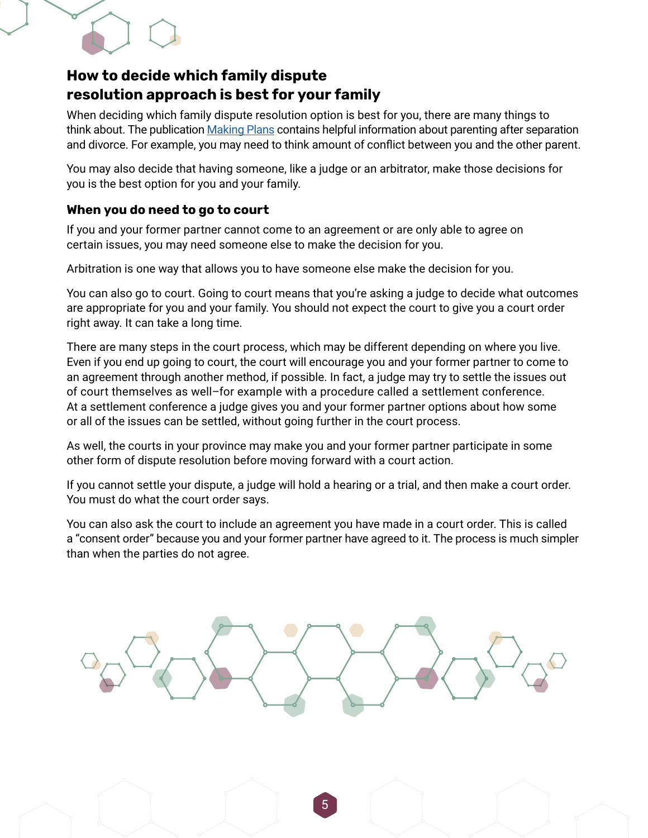

# **How to decide which family dispute resolution approach is best for your family**

When deciding which family dispute resolution option is best for you, there are many things to think about. The publication [Making Plans](https://www.justice.gc.ca/eng/fl-df/parent/mp-fdp/index.html) contains helpful information about parenting after separation and divorce. For example, you may need to think amount of conflict between you and the other parent.

You may also decide that having someone, like a judge or an arbitrator, make those decisions for you is the best option for you and your family.

## **When you do need to go to court**

If you and your former partner cannot come to an agreement or are only able to agree on certain issues, you may need someone else to make the decision for you.

Arbitration is one way that allows you to have someone else make the decision for you.

You can also go to court. Going to court means that you're asking a judge to decide what outcomes are appropriate for you and your family. You should not expect the court to give you a court order right away. It can take a long time.

There are many steps in the court process, which may be different depending on where you live. Even if you end up going to court, the court will encourage you and your former partner to come to an agreement through another method, if possible. In fact, a judge may try to settle the issues out of court themselves as well–for example with a procedure called a settlement conference. At a settlement conference a judge gives you and your former partner options about how some or all of the issues can be settled, without going further in the court process.

As well, the courts in your province may make you and your former partner participate in some other form of dispute resolution before moving forward with a court action.

If you cannot settle your dispute, a judge will hold a hearing or a trial, and then make a court order. You must do what the court order says.

You can also ask the court to include an agreement you have made in a court order. This is called a "consent order" because you and your former partner have agreed to it. The process is much simpler than when the parties do not agree.